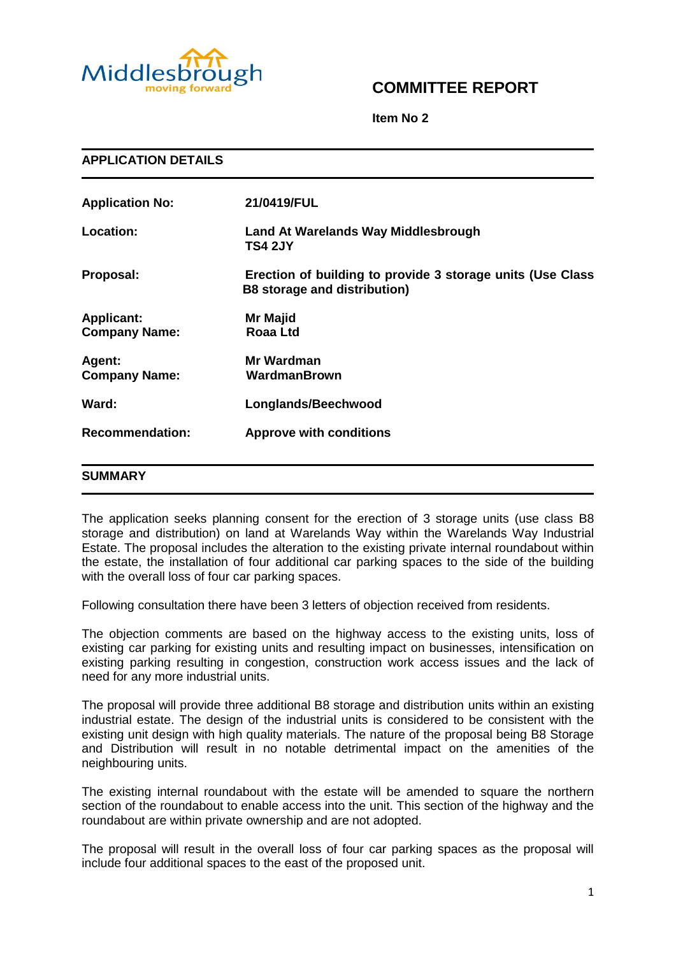

# **COMMITTEE REPORT**

**Item No 2**

| <b>APPLICATION DETAILS</b>                |                                                                                                   |
|-------------------------------------------|---------------------------------------------------------------------------------------------------|
| <b>Application No:</b>                    | 21/0419/FUL                                                                                       |
| Location:                                 | <b>Land At Warelands Way Middlesbrough</b><br><b>TS4 2JY</b>                                      |
| Proposal:                                 | Erection of building to provide 3 storage units (Use Class<br><b>B8</b> storage and distribution) |
| <b>Applicant:</b><br><b>Company Name:</b> | <b>Mr Majid</b><br><b>Roaa Ltd</b>                                                                |
| Agent:<br><b>Company Name:</b>            | Mr Wardman<br>WardmanBrown                                                                        |
| Ward:                                     | Longlands/Beechwood                                                                               |
| <b>Recommendation:</b>                    | <b>Approve with conditions</b>                                                                    |
| <b>SUMMARY</b>                            |                                                                                                   |

The application seeks planning consent for the erection of 3 storage units (use class B8 storage and distribution) on land at Warelands Way within the Warelands Way Industrial Estate. The proposal includes the alteration to the existing private internal roundabout within the estate, the installation of four additional car parking spaces to the side of the building with the overall loss of four car parking spaces.

Following consultation there have been 3 letters of objection received from residents.

The objection comments are based on the highway access to the existing units, loss of existing car parking for existing units and resulting impact on businesses, intensification on existing parking resulting in congestion, construction work access issues and the lack of need for any more industrial units.

The proposal will provide three additional B8 storage and distribution units within an existing industrial estate. The design of the industrial units is considered to be consistent with the existing unit design with high quality materials. The nature of the proposal being B8 Storage and Distribution will result in no notable detrimental impact on the amenities of the neighbouring units.

The existing internal roundabout with the estate will be amended to square the northern section of the roundabout to enable access into the unit. This section of the highway and the roundabout are within private ownership and are not adopted.

The proposal will result in the overall loss of four car parking spaces as the proposal will include four additional spaces to the east of the proposed unit.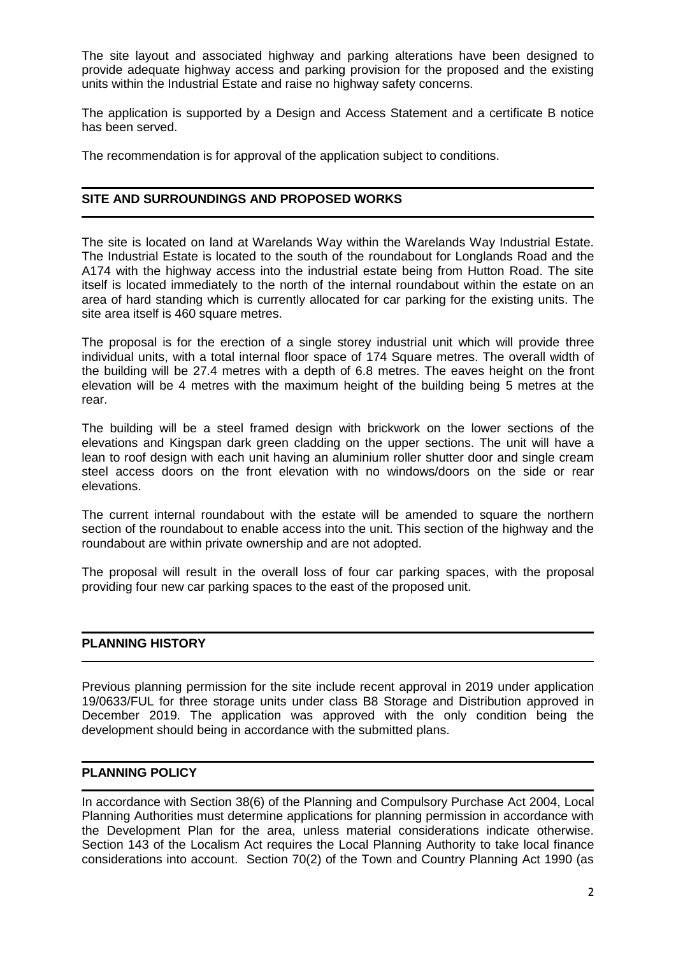The site layout and associated highway and parking alterations have been designed to provide adequate highway access and parking provision for the proposed and the existing units within the Industrial Estate and raise no highway safety concerns.

The application is supported by a Design and Access Statement and a certificate B notice has been served.

The recommendation is for approval of the application subject to conditions.

## **SITE AND SURROUNDINGS AND PROPOSED WORKS**

The site is located on land at Warelands Way within the Warelands Way Industrial Estate. The Industrial Estate is located to the south of the roundabout for Longlands Road and the A174 with the highway access into the industrial estate being from Hutton Road. The site itself is located immediately to the north of the internal roundabout within the estate on an area of hard standing which is currently allocated for car parking for the existing units. The site area itself is 460 square metres.

The proposal is for the erection of a single storey industrial unit which will provide three individual units, with a total internal floor space of 174 Square metres. The overall width of the building will be 27.4 metres with a depth of 6.8 metres. The eaves height on the front elevation will be 4 metres with the maximum height of the building being 5 metres at the rear.

The building will be a steel framed design with brickwork on the lower sections of the elevations and Kingspan dark green cladding on the upper sections. The unit will have a lean to roof design with each unit having an aluminium roller shutter door and single cream steel access doors on the front elevation with no windows/doors on the side or rear elevations.

The current internal roundabout with the estate will be amended to square the northern section of the roundabout to enable access into the unit. This section of the highway and the roundabout are within private ownership and are not adopted.

The proposal will result in the overall loss of four car parking spaces, with the proposal providing four new car parking spaces to the east of the proposed unit.

## **PLANNING HISTORY**

Previous planning permission for the site include recent approval in 2019 under application 19/0633/FUL for three storage units under class B8 Storage and Distribution approved in December 2019. The application was approved with the only condition being the development should being in accordance with the submitted plans.

## **PLANNING POLICY**

In accordance with Section 38(6) of the Planning and Compulsory Purchase Act 2004, Local Planning Authorities must determine applications for planning permission in accordance with the Development Plan for the area, unless material considerations indicate otherwise. Section 143 of the Localism Act requires the Local Planning Authority to take local finance considerations into account. Section 70(2) of the Town and Country Planning Act 1990 (as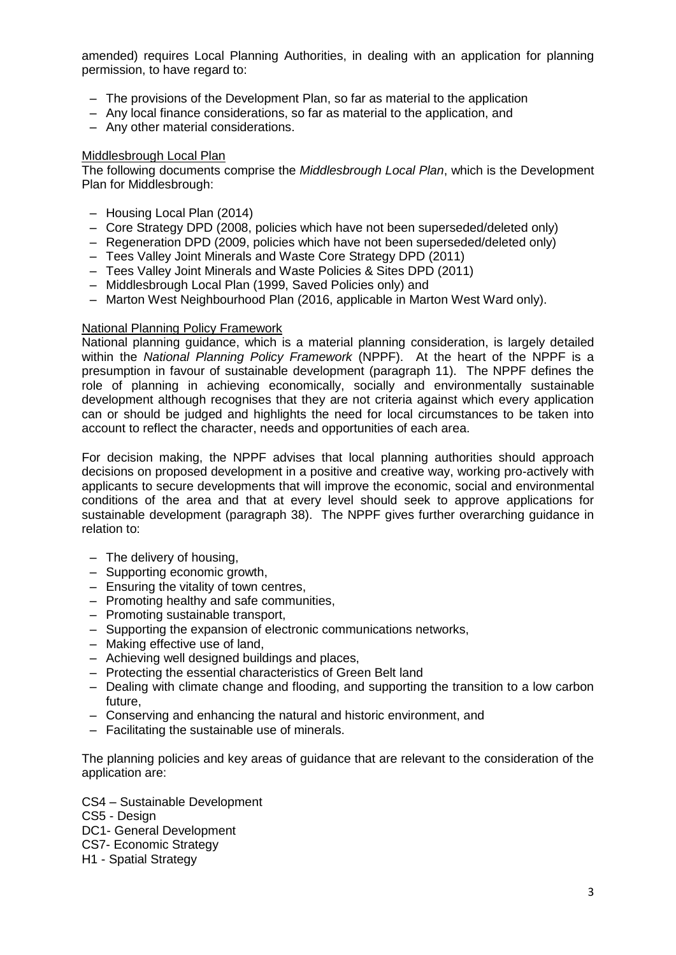amended) requires Local Planning Authorities, in dealing with an application for planning permission, to have regard to:

- The provisions of the Development Plan, so far as material to the application
- Any local finance considerations, so far as material to the application, and
- Any other material considerations.

#### Middlesbrough Local Plan

The following documents comprise the *Middlesbrough Local Plan*, which is the Development Plan for Middlesbrough:

- Housing Local Plan (2014)
- Core Strategy DPD (2008, policies which have not been superseded/deleted only)
- Regeneration DPD (2009, policies which have not been superseded/deleted only)
- Tees Valley Joint Minerals and Waste Core Strategy DPD (2011)
- Tees Valley Joint Minerals and Waste Policies & Sites DPD (2011)
- Middlesbrough Local Plan (1999, Saved Policies only) and
- Marton West Neighbourhood Plan (2016, applicable in Marton West Ward only).

#### National Planning Policy Framework

National planning guidance, which is a material planning consideration, is largely detailed within the *National Planning Policy Framework* (NPPF). At the heart of the NPPF is a presumption in favour of sustainable development (paragraph 11). The NPPF defines the role of planning in achieving economically, socially and environmentally sustainable development although recognises that they are not criteria against which every application can or should be judged and highlights the need for local circumstances to be taken into account to reflect the character, needs and opportunities of each area.

For decision making, the NPPF advises that local planning authorities should approach decisions on proposed development in a positive and creative way, working pro-actively with applicants to secure developments that will improve the economic, social and environmental conditions of the area and that at every level should seek to approve applications for sustainable development (paragraph 38). The NPPF gives further overarching guidance in relation to:

- The delivery of housing,
- Supporting economic growth,
- Ensuring the vitality of town centres,
- Promoting healthy and safe communities,
- Promoting sustainable transport,
- Supporting the expansion of electronic communications networks,
- Making effective use of land,
- Achieving well designed buildings and places,
- Protecting the essential characteristics of Green Belt land
- Dealing with climate change and flooding, and supporting the transition to a low carbon future,
- Conserving and enhancing the natural and historic environment, and
- Facilitating the sustainable use of minerals.

The planning policies and key areas of guidance that are relevant to the consideration of the application are:

CS4 – Sustainable Development CS5 - Design

- DC1- General Development
- CS7- Economic Strategy
- H1 Spatial Strategy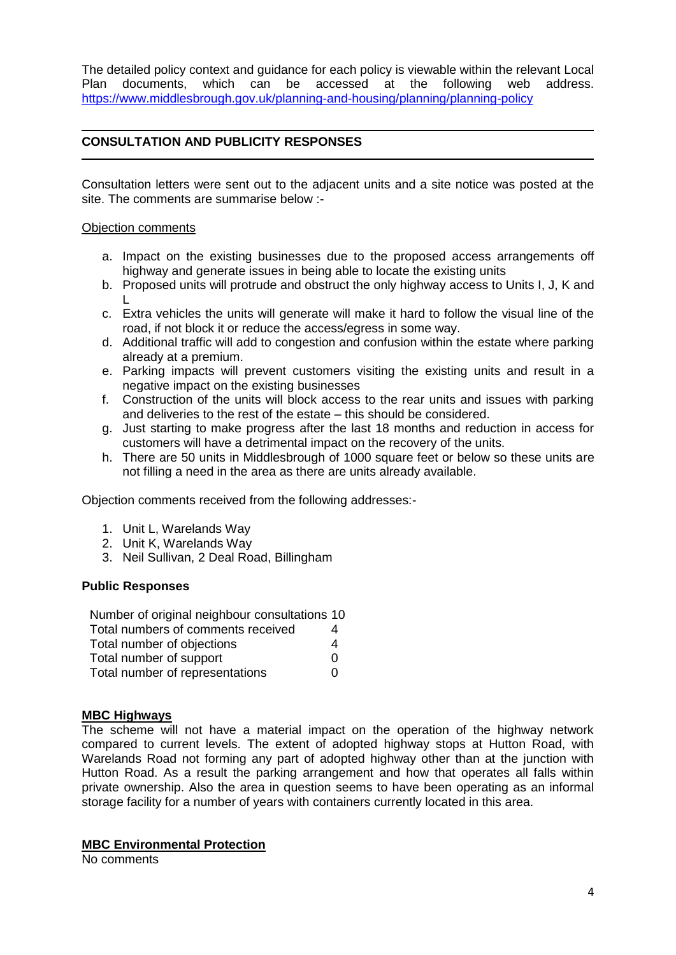The detailed policy context and guidance for each policy is viewable within the relevant Local Plan documents, which can be accessed at the following web address. <https://www.middlesbrough.gov.uk/planning-and-housing/planning/planning-policy>

## **CONSULTATION AND PUBLICITY RESPONSES**

Consultation letters were sent out to the adjacent units and a site notice was posted at the site. The comments are summarise below :-

### Objection comments

- a. Impact on the existing businesses due to the proposed access arrangements off highway and generate issues in being able to locate the existing units
- b. Proposed units will protrude and obstruct the only highway access to Units I, J, K and L
- c. Extra vehicles the units will generate will make it hard to follow the visual line of the road, if not block it or reduce the access/egress in some way.
- d. Additional traffic will add to congestion and confusion within the estate where parking already at a premium.
- e. Parking impacts will prevent customers visiting the existing units and result in a negative impact on the existing businesses
- f. Construction of the units will block access to the rear units and issues with parking and deliveries to the rest of the estate – this should be considered.
- g. Just starting to make progress after the last 18 months and reduction in access for customers will have a detrimental impact on the recovery of the units.
- h. There are 50 units in Middlesbrough of 1000 square feet or below so these units are not filling a need in the area as there are units already available.

Objection comments received from the following addresses:-

- 1. Unit L, Warelands Way
- 2. Unit K, Warelands Way
- 3. Neil Sullivan, 2 Deal Road, Billingham

#### **Public Responses**

| Number of original neighbour consultations 10 |   |
|-----------------------------------------------|---|
| Total numbers of comments received            | 4 |
| Total number of objections                    | 4 |
| Total number of support                       | O |
| Total number of representations               | O |

## **MBC Highways**

The scheme will not have a material impact on the operation of the highway network compared to current levels. The extent of adopted highway stops at Hutton Road, with Warelands Road not forming any part of adopted highway other than at the junction with Hutton Road. As a result the parking arrangement and how that operates all falls within private ownership. Also the area in question seems to have been operating as an informal storage facility for a number of years with containers currently located in this area.

#### **MBC Environmental Protection**

No comments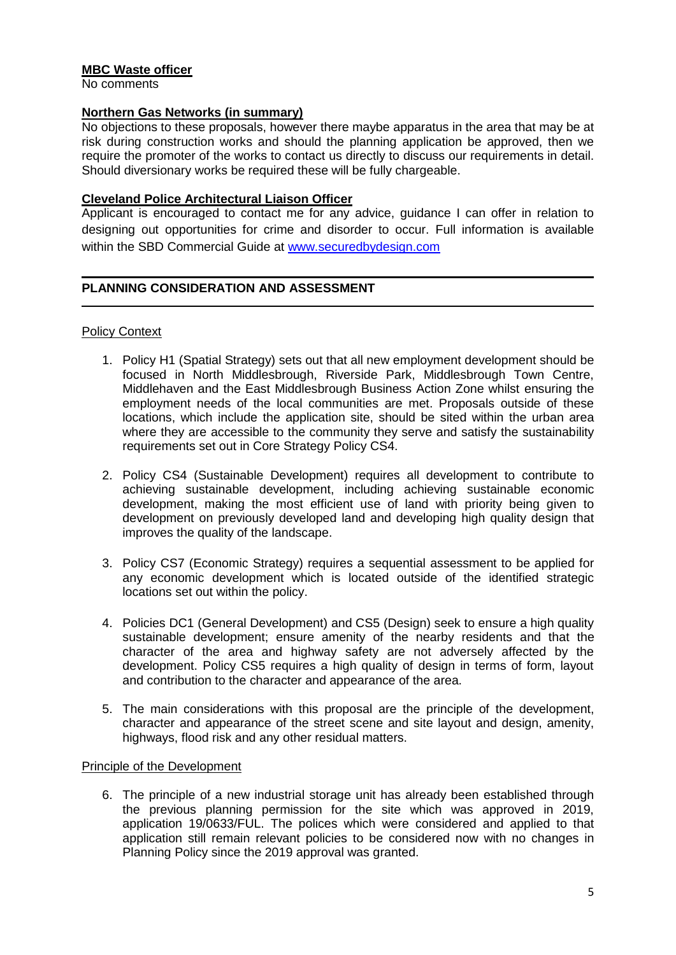## **MBC Waste officer**

No comments

## **Northern Gas Networks (in summary)**

No objections to these proposals, however there maybe apparatus in the area that may be at risk during construction works and should the planning application be approved, then we require the promoter of the works to contact us directly to discuss our requirements in detail. Should diversionary works be required these will be fully chargeable.

### **Cleveland Police Architectural Liaison Officer**

Applicant is encouraged to contact me for any advice, guidance I can offer in relation to designing out opportunities for crime and disorder to occur. Full information is available within the SBD Commercial Guide at [www.securedbydesign.com](https://gbr01.safelinks.protection.outlook.com/?url=http%3A%2F%2Fwww.securedbydesign.com%2F&data=04%7C01%7CDebbie_Moody%40middlesbrough.gov.uk%7Cc09a39488ab140b1059008d9785444e3%7C80e3c22b9f3044afb1981975db77798a%7C0%7C0%7C637673125709873258%7CUnknown%7CTWFpbGZsb3d8eyJWIjoiMC4wLjAwMDAiLCJQIjoiV2luMzIiLCJBTiI6Ik1haWwiLCJXVCI6Mn0%3D%7C2000&sdata=34%2FxHdn5%2F2T%2BU6DweCDQEYxyr3nSYuJ5FLSEVAwYJjs%3D&reserved=0)

## **PLANNING CONSIDERATION AND ASSESSMENT**

#### Policy Context

- 1. Policy H1 (Spatial Strategy) sets out that all new employment development should be focused in North Middlesbrough, Riverside Park, Middlesbrough Town Centre, Middlehaven and the East Middlesbrough Business Action Zone whilst ensuring the employment needs of the local communities are met. Proposals outside of these locations, which include the application site, should be sited within the urban area where they are accessible to the community they serve and satisfy the sustainability requirements set out in Core Strategy Policy CS4.
- 2. Policy CS4 (Sustainable Development) requires all development to contribute to achieving sustainable development, including achieving sustainable economic development, making the most efficient use of land with priority being given to development on previously developed land and developing high quality design that improves the quality of the landscape.
- 3. Policy CS7 (Economic Strategy) requires a sequential assessment to be applied for any economic development which is located outside of the identified strategic locations set out within the policy.
- 4. Policies DC1 (General Development) and CS5 (Design) seek to ensure a high quality sustainable development; ensure amenity of the nearby residents and that the character of the area and highway safety are not adversely affected by the development. Policy CS5 requires a high quality of design in terms of form, layout and contribution to the character and appearance of the area.
- 5. The main considerations with this proposal are the principle of the development, character and appearance of the street scene and site layout and design, amenity, highways, flood risk and any other residual matters.

## Principle of the Development

6. The principle of a new industrial storage unit has already been established through the previous planning permission for the site which was approved in 2019, application 19/0633/FUL. The polices which were considered and applied to that application still remain relevant policies to be considered now with no changes in Planning Policy since the 2019 approval was granted.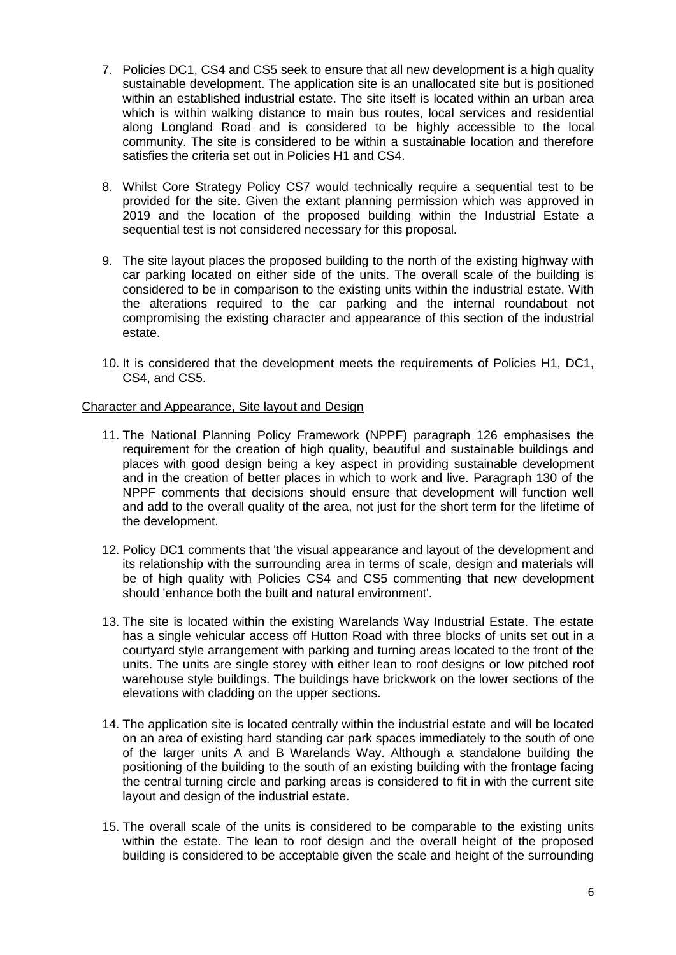- 7. Policies DC1, CS4 and CS5 seek to ensure that all new development is a high quality sustainable development. The application site is an unallocated site but is positioned within an established industrial estate. The site itself is located within an urban area which is within walking distance to main bus routes, local services and residential along Longland Road and is considered to be highly accessible to the local community. The site is considered to be within a sustainable location and therefore satisfies the criteria set out in Policies H1 and CS4.
- 8. Whilst Core Strategy Policy CS7 would technically require a sequential test to be provided for the site. Given the extant planning permission which was approved in 2019 and the location of the proposed building within the Industrial Estate a sequential test is not considered necessary for this proposal.
- 9. The site layout places the proposed building to the north of the existing highway with car parking located on either side of the units. The overall scale of the building is considered to be in comparison to the existing units within the industrial estate. With the alterations required to the car parking and the internal roundabout not compromising the existing character and appearance of this section of the industrial estate.
- 10. It is considered that the development meets the requirements of Policies H1, DC1, CS4, and CS5.

#### Character and Appearance, Site layout and Design

- 11. The National Planning Policy Framework (NPPF) paragraph 126 emphasises the requirement for the creation of high quality, beautiful and sustainable buildings and places with good design being a key aspect in providing sustainable development and in the creation of better places in which to work and live. Paragraph 130 of the NPPF comments that decisions should ensure that development will function well and add to the overall quality of the area, not just for the short term for the lifetime of the development.
- 12. Policy DC1 comments that 'the visual appearance and layout of the development and its relationship with the surrounding area in terms of scale, design and materials will be of high quality with Policies CS4 and CS5 commenting that new development should 'enhance both the built and natural environment'.
- 13. The site is located within the existing Warelands Way Industrial Estate. The estate has a single vehicular access off Hutton Road with three blocks of units set out in a courtyard style arrangement with parking and turning areas located to the front of the units. The units are single storey with either lean to roof designs or low pitched roof warehouse style buildings. The buildings have brickwork on the lower sections of the elevations with cladding on the upper sections.
- 14. The application site is located centrally within the industrial estate and will be located on an area of existing hard standing car park spaces immediately to the south of one of the larger units A and B Warelands Way. Although a standalone building the positioning of the building to the south of an existing building with the frontage facing the central turning circle and parking areas is considered to fit in with the current site layout and design of the industrial estate.
- 15. The overall scale of the units is considered to be comparable to the existing units within the estate. The lean to roof design and the overall height of the proposed building is considered to be acceptable given the scale and height of the surrounding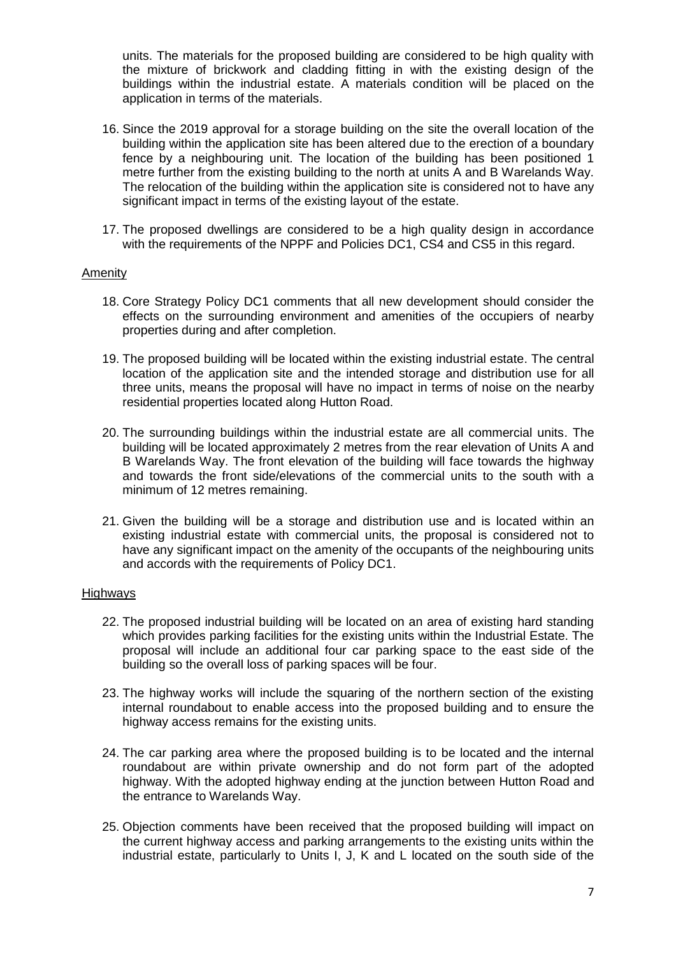units. The materials for the proposed building are considered to be high quality with the mixture of brickwork and cladding fitting in with the existing design of the buildings within the industrial estate. A materials condition will be placed on the application in terms of the materials.

- 16. Since the 2019 approval for a storage building on the site the overall location of the building within the application site has been altered due to the erection of a boundary fence by a neighbouring unit. The location of the building has been positioned 1 metre further from the existing building to the north at units A and B Warelands Way. The relocation of the building within the application site is considered not to have any significant impact in terms of the existing layout of the estate.
- 17. The proposed dwellings are considered to be a high quality design in accordance with the requirements of the NPPF and Policies DC1, CS4 and CS5 in this regard.

#### Amenity

- 18. Core Strategy Policy DC1 comments that all new development should consider the effects on the surrounding environment and amenities of the occupiers of nearby properties during and after completion.
- 19. The proposed building will be located within the existing industrial estate. The central location of the application site and the intended storage and distribution use for all three units, means the proposal will have no impact in terms of noise on the nearby residential properties located along Hutton Road.
- 20. The surrounding buildings within the industrial estate are all commercial units. The building will be located approximately 2 metres from the rear elevation of Units A and B Warelands Way. The front elevation of the building will face towards the highway and towards the front side/elevations of the commercial units to the south with a minimum of 12 metres remaining.
- 21. Given the building will be a storage and distribution use and is located within an existing industrial estate with commercial units, the proposal is considered not to have any significant impact on the amenity of the occupants of the neighbouring units and accords with the requirements of Policy DC1.

#### **Highways**

- 22. The proposed industrial building will be located on an area of existing hard standing which provides parking facilities for the existing units within the Industrial Estate. The proposal will include an additional four car parking space to the east side of the building so the overall loss of parking spaces will be four.
- 23. The highway works will include the squaring of the northern section of the existing internal roundabout to enable access into the proposed building and to ensure the highway access remains for the existing units.
- 24. The car parking area where the proposed building is to be located and the internal roundabout are within private ownership and do not form part of the adopted highway. With the adopted highway ending at the junction between Hutton Road and the entrance to Warelands Way.
- 25. Objection comments have been received that the proposed building will impact on the current highway access and parking arrangements to the existing units within the industrial estate, particularly to Units I, J, K and L located on the south side of the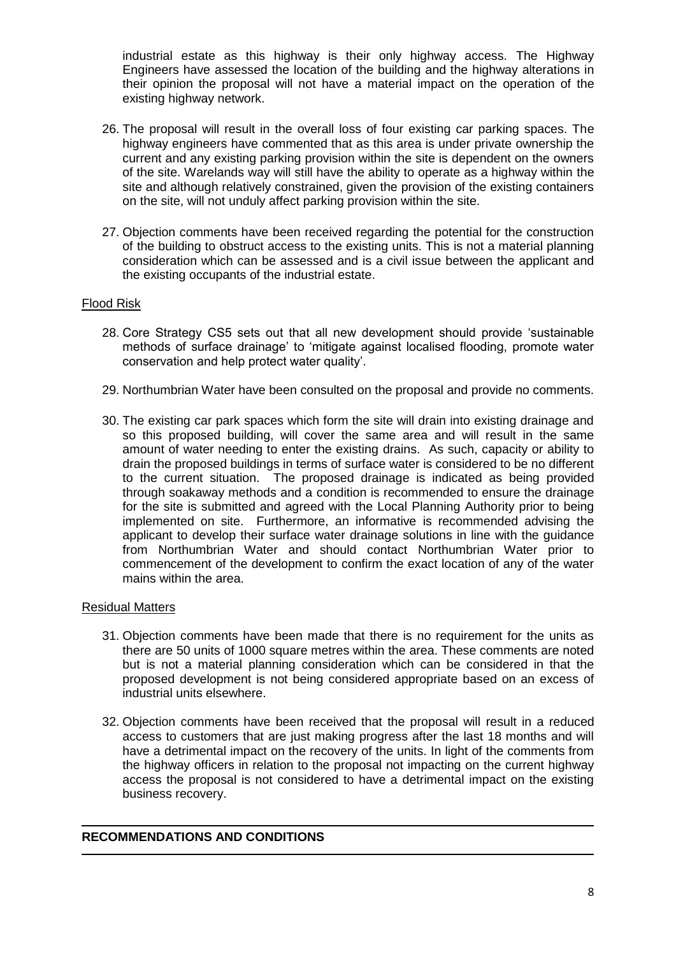industrial estate as this highway is their only highway access. The Highway Engineers have assessed the location of the building and the highway alterations in their opinion the proposal will not have a material impact on the operation of the existing highway network.

- 26. The proposal will result in the overall loss of four existing car parking spaces. The highway engineers have commented that as this area is under private ownership the current and any existing parking provision within the site is dependent on the owners of the site. Warelands way will still have the ability to operate as a highway within the site and although relatively constrained, given the provision of the existing containers on the site, will not unduly affect parking provision within the site.
- 27. Objection comments have been received regarding the potential for the construction of the building to obstruct access to the existing units. This is not a material planning consideration which can be assessed and is a civil issue between the applicant and the existing occupants of the industrial estate.

## Flood Risk

- 28. Core Strategy CS5 sets out that all new development should provide 'sustainable methods of surface drainage' to 'mitigate against localised flooding, promote water conservation and help protect water quality'.
- 29. Northumbrian Water have been consulted on the proposal and provide no comments.
- 30. The existing car park spaces which form the site will drain into existing drainage and so this proposed building, will cover the same area and will result in the same amount of water needing to enter the existing drains. As such, capacity or ability to drain the proposed buildings in terms of surface water is considered to be no different to the current situation. The proposed drainage is indicated as being provided through soakaway methods and a condition is recommended to ensure the drainage for the site is submitted and agreed with the Local Planning Authority prior to being implemented on site. Furthermore, an informative is recommended advising the applicant to develop their surface water drainage solutions in line with the guidance from Northumbrian Water and should contact Northumbrian Water prior to commencement of the development to confirm the exact location of any of the water mains within the area.

#### Residual Matters

- 31. Objection comments have been made that there is no requirement for the units as there are 50 units of 1000 square metres within the area. These comments are noted but is not a material planning consideration which can be considered in that the proposed development is not being considered appropriate based on an excess of industrial units elsewhere.
- 32. Objection comments have been received that the proposal will result in a reduced access to customers that are just making progress after the last 18 months and will have a detrimental impact on the recovery of the units. In light of the comments from the highway officers in relation to the proposal not impacting on the current highway access the proposal is not considered to have a detrimental impact on the existing business recovery.

## **RECOMMENDATIONS AND CONDITIONS**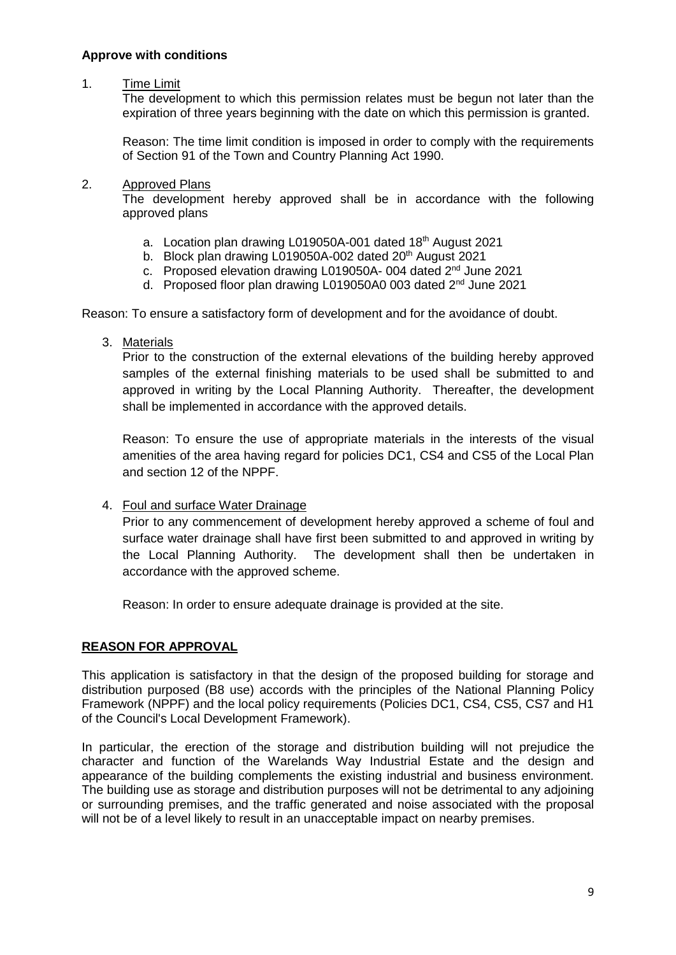## **Approve with conditions**

## 1. Time Limit

The development to which this permission relates must be begun not later than the expiration of three years beginning with the date on which this permission is granted.

Reason: The time limit condition is imposed in order to comply with the requirements of Section 91 of the Town and Country Planning Act 1990.

## 2. Approved Plans

The development hereby approved shall be in accordance with the following approved plans

- a. Location plan drawing L019050A-001 dated 18<sup>th</sup> August 2021
- b. Block plan drawing L019050A-002 dated 20<sup>th</sup> August 2021
- c. Proposed elevation drawing L019050A- 004 dated 2<sup>nd</sup> June 2021
- d. Proposed floor plan drawing L019050A0 003 dated 2<sup>nd</sup> June 2021

Reason: To ensure a satisfactory form of development and for the avoidance of doubt.

3. Materials

Prior to the construction of the external elevations of the building hereby approved samples of the external finishing materials to be used shall be submitted to and approved in writing by the Local Planning Authority. Thereafter, the development shall be implemented in accordance with the approved details.

Reason: To ensure the use of appropriate materials in the interests of the visual amenities of the area having regard for policies DC1, CS4 and CS5 of the Local Plan and section 12 of the NPPF.

4. Foul and surface Water Drainage

Prior to any commencement of development hereby approved a scheme of foul and surface water drainage shall have first been submitted to and approved in writing by the Local Planning Authority. The development shall then be undertaken in accordance with the approved scheme.

Reason: In order to ensure adequate drainage is provided at the site.

## **REASON FOR APPROVAL**

This application is satisfactory in that the design of the proposed building for storage and distribution purposed (B8 use) accords with the principles of the National Planning Policy Framework (NPPF) and the local policy requirements (Policies DC1, CS4, CS5, CS7 and H1 of the Council's Local Development Framework).

In particular, the erection of the storage and distribution building will not prejudice the character and function of the Warelands Way Industrial Estate and the design and appearance of the building complements the existing industrial and business environment. The building use as storage and distribution purposes will not be detrimental to any adjoining or surrounding premises, and the traffic generated and noise associated with the proposal will not be of a level likely to result in an unacceptable impact on nearby premises.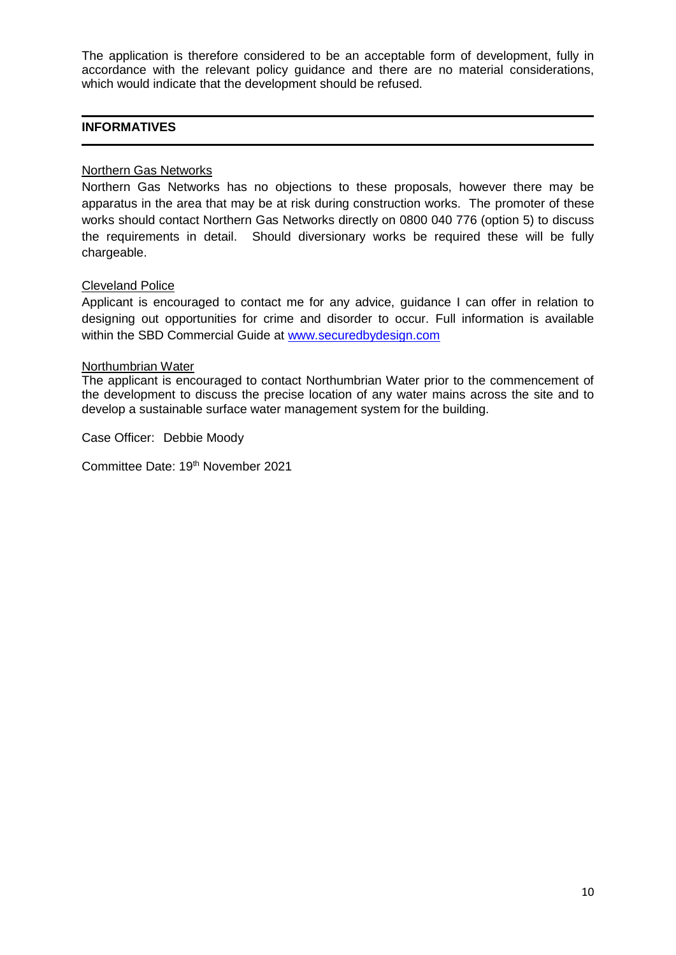The application is therefore considered to be an acceptable form of development, fully in accordance with the relevant policy guidance and there are no material considerations, which would indicate that the development should be refused.

## **INFORMATIVES**

## Northern Gas Networks

Northern Gas Networks has no objections to these proposals, however there may be apparatus in the area that may be at risk during construction works. The promoter of these works should contact Northern Gas Networks directly on 0800 040 776 (option 5) to discuss the requirements in detail. Should diversionary works be required these will be fully chargeable.

#### Cleveland Police

Applicant is encouraged to contact me for any advice, guidance I can offer in relation to designing out opportunities for crime and disorder to occur. Full information is available within the SBD Commercial Guide at [www.securedbydesign.com](https://gbr01.safelinks.protection.outlook.com/?url=http%3A%2F%2Fwww.securedbydesign.com%2F&data=04%7C01%7CDebbie_Moody%40middlesbrough.gov.uk%7Cc09a39488ab140b1059008d9785444e3%7C80e3c22b9f3044afb1981975db77798a%7C0%7C0%7C637673125709873258%7CUnknown%7CTWFpbGZsb3d8eyJWIjoiMC4wLjAwMDAiLCJQIjoiV2luMzIiLCJBTiI6Ik1haWwiLCJXVCI6Mn0%3D%7C2000&sdata=34%2FxHdn5%2F2T%2BU6DweCDQEYxyr3nSYuJ5FLSEVAwYJjs%3D&reserved=0)

#### Northumbrian Water

The applicant is encouraged to contact Northumbrian Water prior to the commencement of the development to discuss the precise location of any water mains across the site and to develop a sustainable surface water management system for the building.

Case Officer: Debbie Moody

Committee Date: 19<sup>th</sup> November 2021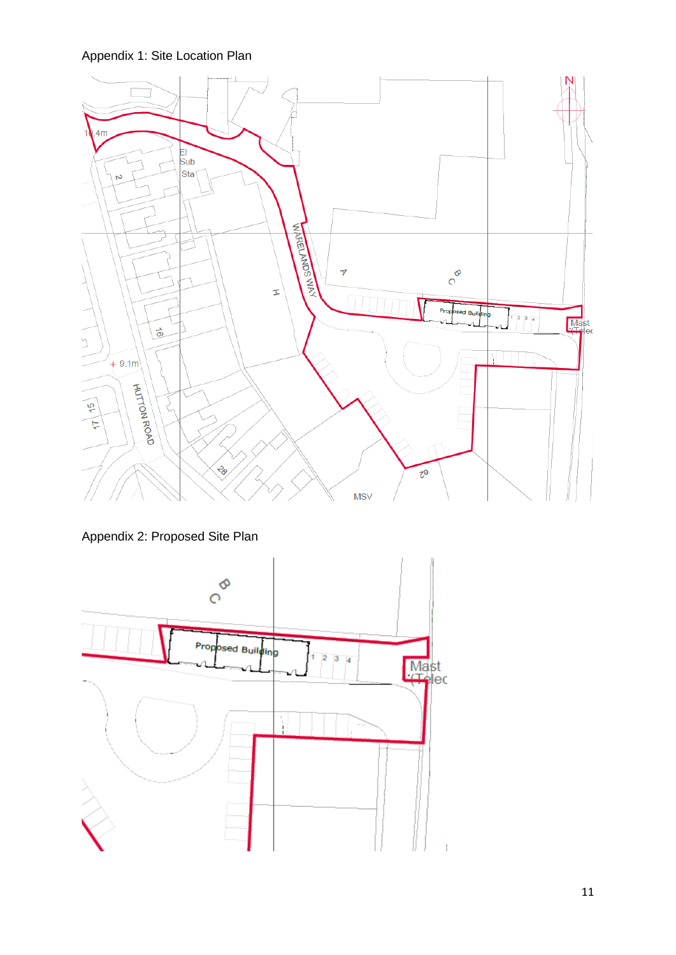Appendix 1: Site Location Plan



Appendix 2: Proposed Site Plan